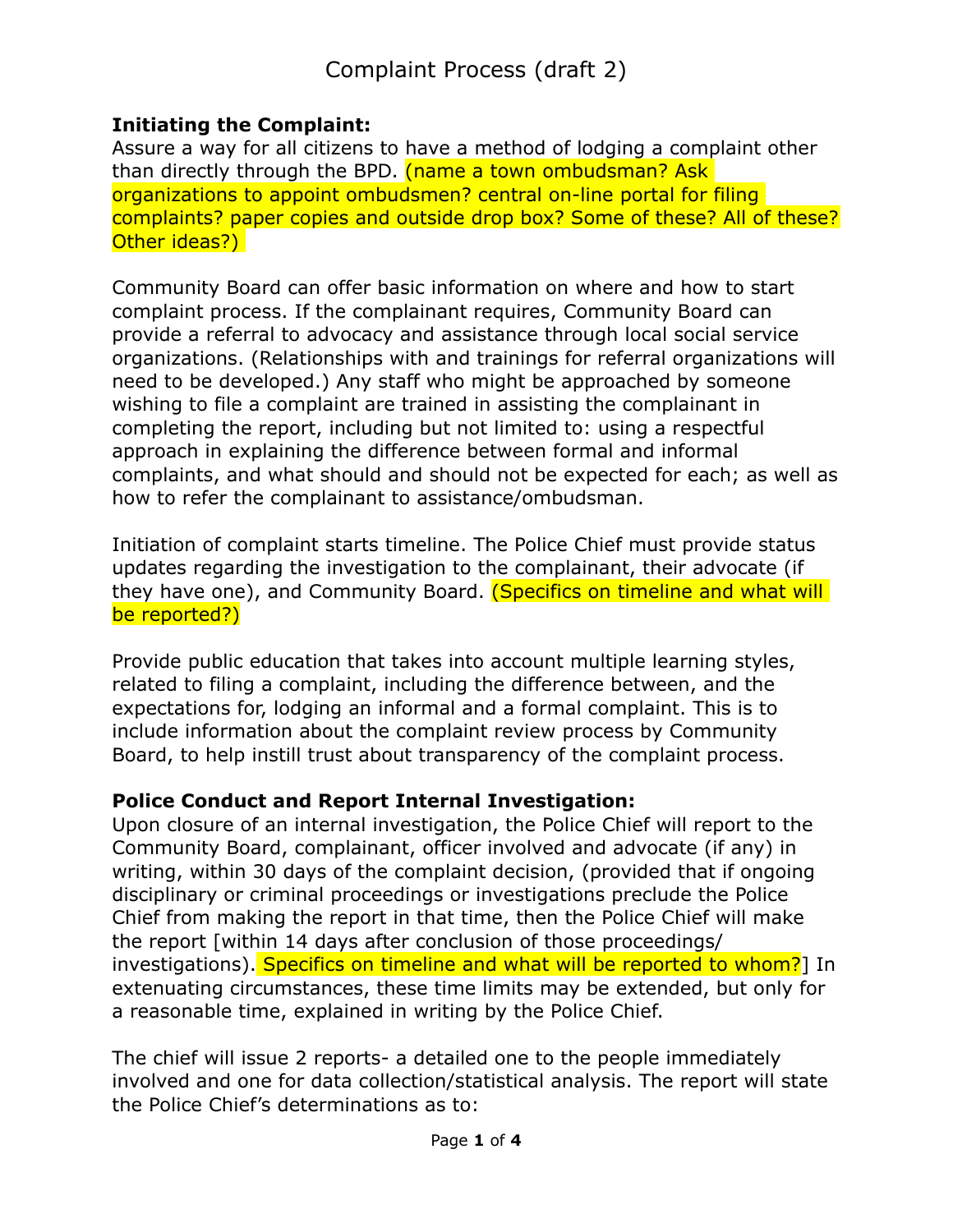### **Initiating the Complaint:**

Assure a way for all citizens to have a method of lodging a complaint other than directly through the BPD. (name a town ombudsman? Ask organizations to appoint ombudsmen? central on-line portal for filing complaints? paper copies and outside drop box? Some of these? All of these? Other ideas?)

Community Board can offer basic information on where and how to start complaint process. If the complainant requires, Community Board can provide a referral to advocacy and assistance through local social service organizations. (Relationships with and trainings for referral organizations will need to be developed.) Any staff who might be approached by someone wishing to file a complaint are trained in assisting the complainant in completing the report, including but not limited to: using a respectful approach in explaining the difference between formal and informal complaints, and what should and should not be expected for each; as well as how to refer the complainant to assistance/ombudsman.

Initiation of complaint starts timeline. The Police Chief must provide status updates regarding the investigation to the complainant, their advocate (if they have one), and Community Board. (Specifics on timeline and what will be reported?)

Provide public education that takes into account multiple learning styles, related to filing a complaint, including the difference between, and the expectations for, lodging an informal and a formal complaint. This is to include information about the complaint review process by Community Board, to help instill trust about transparency of the complaint process.

### **Police Conduct and Report Internal Investigation:**

Upon closure of an internal investigation, the Police Chief will report to the Community Board, complainant, officer involved and advocate (if any) in writing, within 30 days of the complaint decision, (provided that if ongoing disciplinary or criminal proceedings or investigations preclude the Police Chief from making the report in that time, then the Police Chief will make the report [within 14 days after conclusion of those proceedings/ investigations). Specifics on timeline and what will be reported to whom? In extenuating circumstances, these time limits may be extended, but only for a reasonable time, explained in writing by the Police Chief.

The chief will issue 2 reports- a detailed one to the people immediately involved and one for data collection/statistical analysis. The report will state the Police Chief's determinations as to: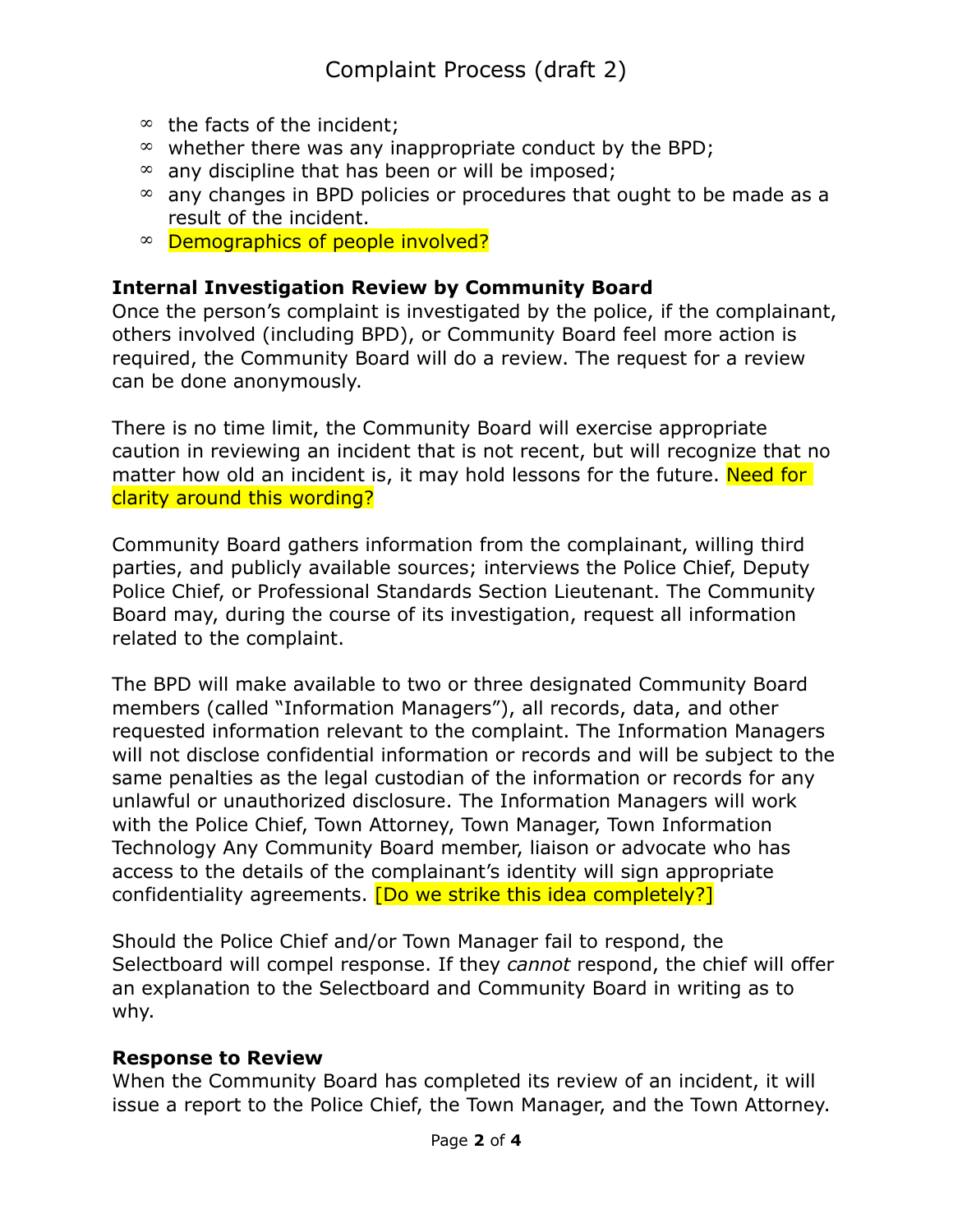- $\infty$  the facts of the incident;
- $\infty$  whether there was any inappropriate conduct by the BPD;
- $\infty$  any discipline that has been or will be imposed;
- $\infty$  any changes in BPD policies or procedures that ought to be made as a result of the incident.
- Demographics of people involved?

#### **Internal Investigation Review by Community Board**

Once the person's complaint is investigated by the police, if the complainant, others involved (including BPD), or Community Board feel more action is required, the Community Board will do a review. The request for a review can be done anonymously.

There is no time limit, the Community Board will exercise appropriate caution in reviewing an incident that is not recent, but will recognize that no matter how old an incident is, it may hold lessons for the future. Need for clarity around this wording?

Community Board gathers information from the complainant, willing third parties, and publicly available sources; interviews the Police Chief, Deputy Police Chief, or Professional Standards Section Lieutenant. The Community Board may, during the course of its investigation, request all information related to the complaint.

The BPD will make available to two or three designated Community Board members (called "Information Managers"), all records, data, and other requested information relevant to the complaint. The Information Managers will not disclose confidential information or records and will be subject to the same penalties as the legal custodian of the information or records for any unlawful or unauthorized disclosure. The Information Managers will work with the Police Chief, Town Attorney, Town Manager, Town Information Technology Any Community Board member, liaison or advocate who has access to the details of the complainant's identity will sign appropriate confidentiality agreements. [Do we strike this idea completely?]

Should the Police Chief and/or Town Manager fail to respond, the Selectboard will compel response. If they *cannot* respond, the chief will offer an explanation to the Selectboard and Community Board in writing as to why.

#### **Response to Review**

When the Community Board has completed its review of an incident, it will issue a report to the Police Chief, the Town Manager, and the Town Attorney.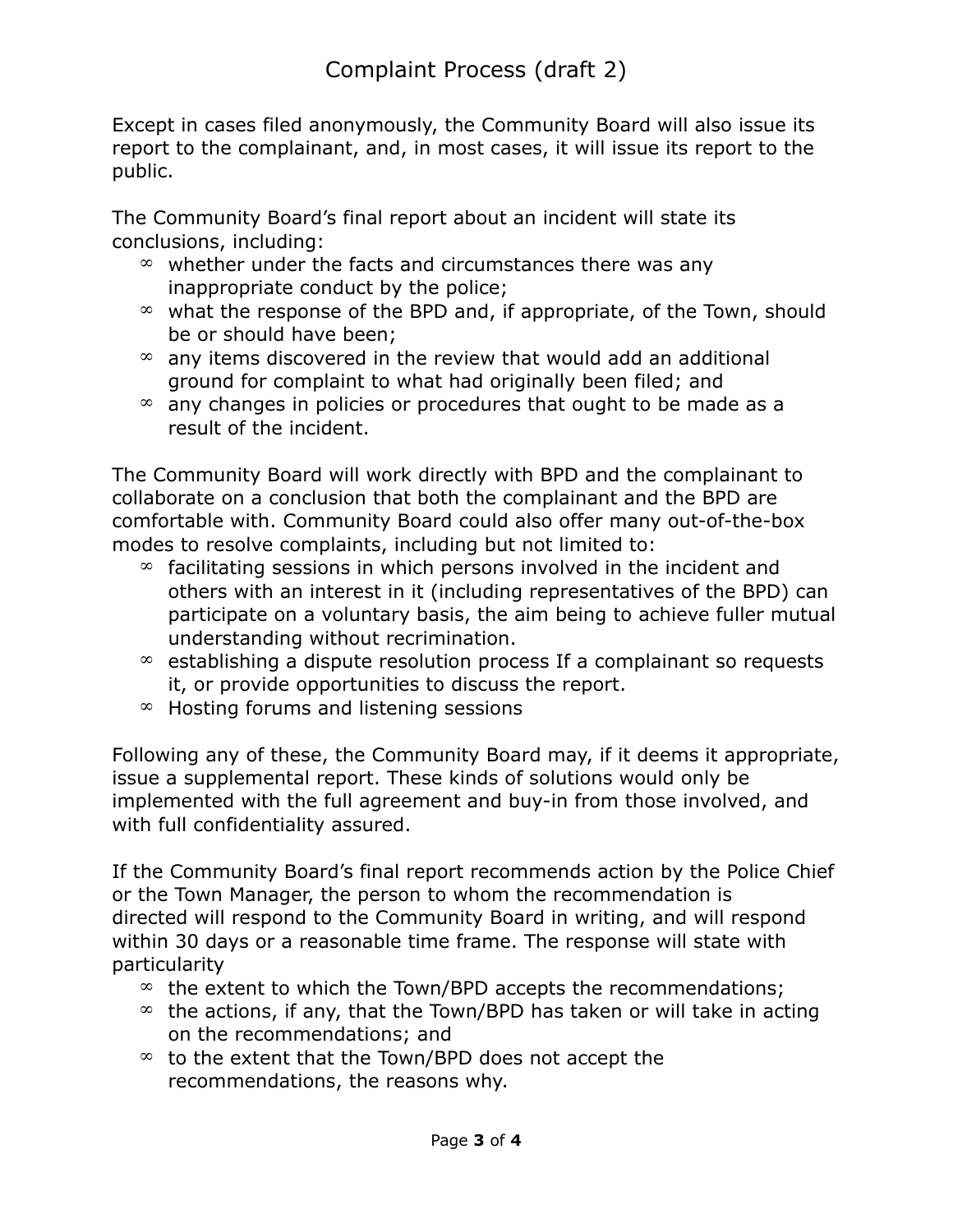Except in cases filed anonymously, the Community Board will also issue its report to the complainant, and, in most cases, it will issue its report to the public.

The Community Board's final report about an incident will state its conclusions, including:

- $\infty$  whether under the facts and circumstances there was any inappropriate conduct by the police;
- $\infty$  what the response of the BPD and, if appropriate, of the Town, should be or should have been;
- $\infty$  any items discovered in the review that would add an additional ground for complaint to what had originally been filed; and
- $\infty$  any changes in policies or procedures that ought to be made as a result of the incident.

The Community Board will work directly with BPD and the complainant to collaborate on a conclusion that both the complainant and the BPD are comfortable with. Community Board could also offer many out-of-the-box modes to resolve complaints, including but not limited to:

- $\infty$  facilitating sessions in which persons involved in the incident and others with an interest in it (including representatives of the BPD) can participate on a voluntary basis, the aim being to achieve fuller mutual understanding without recrimination.
- $\infty$  establishing a dispute resolution process If a complainant so requests it, or provide opportunities to discuss the report.
- $\infty$  Hosting forums and listening sessions

Following any of these, the Community Board may, if it deems it appropriate, issue a supplemental report. These kinds of solutions would only be implemented with the full agreement and buy-in from those involved, and with full confidentiality assured.

If the Community Board's final report recommends action by the Police Chief or the Town Manager, the person to whom the recommendation is directed will respond to the Community Board in writing, and will respond within 30 days or a reasonable time frame. The response will state with particularity

- $\infty$  the extent to which the Town/BPD accepts the recommendations;
- $\infty$  the actions, if any, that the Town/BPD has taken or will take in acting on the recommendations; and
- $\infty$  to the extent that the Town/BPD does not accept the recommendations, the reasons why.